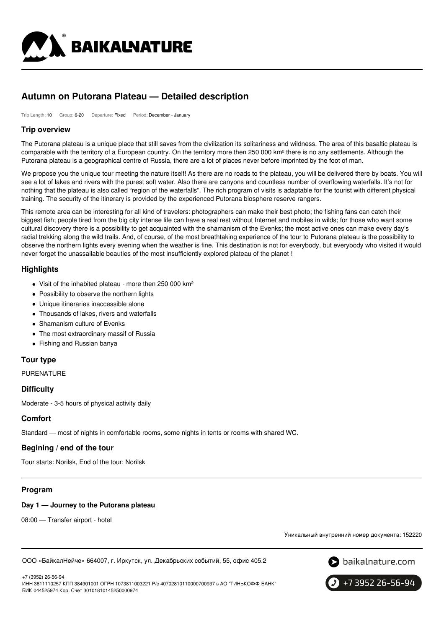

# **Autumn on Putorana Plateau — Detailed description**

Trip Length: 10 Group: 6-20 Departure: Fixed Period: December - January

## **Trip overview**

The Putorana plateau is a unique place that still saves from the civilization its solitariness and wildness. The area of this basaltic plateau is comparable with the territory of a European country. On the territory more then 250 000 km² there is no any settlements. Although the Putorana plateau is a geographical centre of Russia, there are a lot of places never before imprinted by the foot of man.

We propose you the unique tour meeting the nature itself! As there are no roads to the plateau, you will be delivered there by boats. You will see a lot of lakes and rivers with the purest soft water. Also there are canyons and countless number of overflowing waterfalls. It's not for nothing that the plateau is also called "region of the waterfalls". The rich program of visits is adaptable for the tourist with different physical training. The security of the itinerary is provided by the experienced Putorana biosphere reserve rangers.

This remote area can be interesting for all kind of travelers: photographers can make their best photo; the fishing fans can catch their biggest fish; people tired from the big city intense life can have a real rest without Internet and mobiles in wilds; for those who want some cultural discovery there is a possibility to get acquainted with the shamanism of the Evenks; the most active ones can make every day's radial trekking along the wild trails. And, of course, of the most breathtaking experience of the tour to Putorana plateau is the possibility to observe the northern lights every evening when the weather is fine. This destination is not for everybody, but everybody who visited it would never forget the unassailable beauties of the most insufficiently explored plateau of the planet !

## **Highlights**

- Visit of the inhabited plateau more then 250 000 km<sup>2</sup>
- Possibility to observe the northern lights
- Unique itineraries inaccessible alone
- Thousands of lakes, rivers and waterfalls
- Shamanism culture of Evenks
- The most extraordinary massif of Russia
- Fishing and Russian banya

## **Tour type**

PURENATURE

## **Difficulty**

Moderate - 3-5 hours of physical activity daily

## **Comfort**

Standard — most of nights in comfortable rooms, some nights in tents or rooms with shared WC.

## **Begining / end of the tour**

Tour starts: Norilsk, End of the tour: Norilsk

## **Program**

## **Day 1 — Journey to the Putorana plateau**

08:00 — Transfer airport - hotel

Уникальный внутренний номер документа: 152220

ООО «БайкалНейче» 664007, г. Иркутск, ул. Декабрьских событий, 55, офис 405.2





+7 3952 26-56-94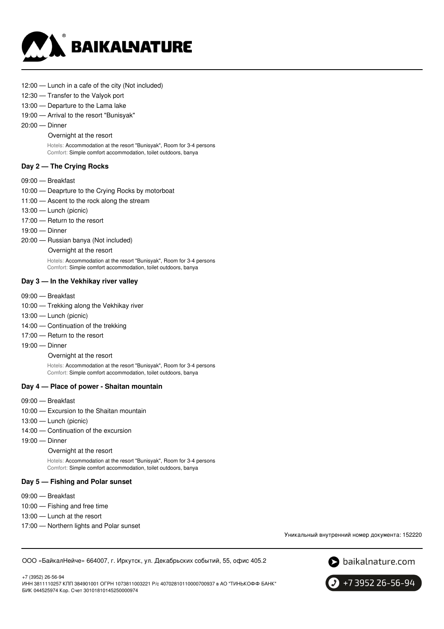

- 12:00 Lunch in a cafe of the city (Not included)
- 12:30 Transfer to the Valyok port
- 13:00 Departure to the Lama lake
- 19:00 Arrival to the resort "Bunisyak"
- 20:00 Dinner

#### Overnight at the resort

Hotels: Accommodation at the resort "Bunisyak", Room for 3-4 persons Comfort: Simple comfort accommodation, toilet outdoors, banya

#### **Day 2 — The Crying Rocks**

- 09:00 Breakfast
- 10:00 Deaprture to the Crying Rocks by motorboat
- 11:00 Ascent to the rock along the stream
- 13:00 Lunch (picnic)
- 17:00 Return to the resort
- 19:00 Dinner
- 20:00 Russian banya (Not included)
	- Overnight at the resort

Hotels: Accommodation at the resort "Bunisyak", Room for 3-4 persons Comfort: Simple comfort accommodation, toilet outdoors, banya

#### **Day 3 — In the Vekhikay river valley**

- 09:00 Breakfast
- 10:00 Trekking along the Vekhikay river
- 13:00 Lunch (picnic)
- 14:00 Continuation of the trekking
- 17:00 Return to the resort
- 19:00 Dinner

Overnight at the resort

Hotels: Accommodation at the resort "Bunisyak", Room for 3-4 persons Comfort: Simple comfort accommodation, toilet outdoors, banya

#### **Day 4 — Place of power - Shaitan mountain**

- 09:00 Breakfast
- 10:00 Excursion to the Shaitan mountain
- 13:00 Lunch (picnic)
- 14:00 Continuation of the excursion
- 19:00 Dinner

#### Overnight at the resort

Hotels: Accommodation at the resort "Bunisyak", Room for 3-4 persons Comfort: Simple comfort accommodation, toilet outdoors, banya

#### **Day 5 — Fishing and Polar sunset**

- 09:00 Breakfast
- 10:00 Fishing and free time
- 13:00 Lunch at the resort
- 17:00 Northern lights and Polar sunset

Уникальный внутренний номер документа: 152220

ООО «БайкалНейче» 664007, г. Иркутск, ул. Декабрьских событий, 55, офис 405.2



+7 3952 26-56-94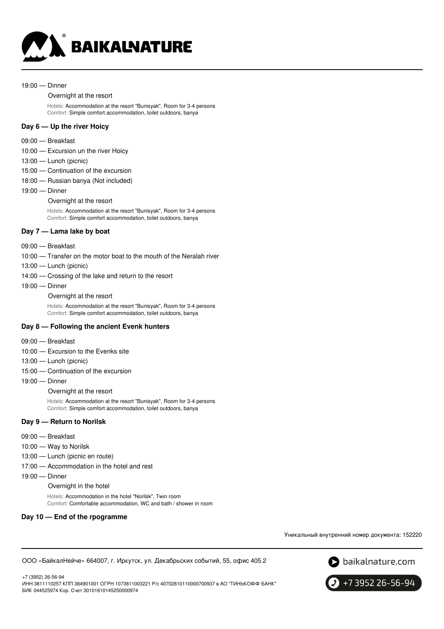

#### 19:00 — Dinner

#### Overnight at the resort

Hotels: Accommodation at the resort "Bunisyak", Room for 3-4 persons Comfort: Simple comfort accommodation, toilet outdoors, banya

### **Day 6 — Up the river Hoicy**

- 09:00 Breakfast
- 10:00 Excursion un the river Hoicy
- 13:00 Lunch (picnic)
- 15:00 Continuation of the excursion
- 18:00 Russian banya (Not included)
- 19:00 Dinner
	- Overnight at the resort

Hotels: Accommodation at the resort "Bunisyak", Room for 3-4 persons Comfort: Simple comfort accommodation, toilet outdoors, banya

#### **Day 7 — Lama lake by boat**

- 09:00 Breakfast
- 10:00 Transfer on the motor boat to the mouth of the Neralah river
- 13:00 Lunch (picnic)
- 14:00 Crossing of the lake and return to the resort
- 19:00 Dinner
	- Overnight at the resort

Hotels: Accommodation at the resort "Bunisyak", Room for 3-4 persons Comfort: Simple comfort accommodation, toilet outdoors, banya

#### **Day 8 — Following the ancient Evenk hunters**

- 09:00 Breakfast
- 10:00 Excursion to the Evenks site
- 13:00 Lunch (picnic)
- 15:00 Continuation of the excursion
- 19:00 Dinner

Overnight at the resort

Hotels: Accommodation at the resort "Bunisyak", Room for 3-4 persons Comfort: Simple comfort accommodation, toilet outdoors, banya

#### **Day 9 — Return to Norilsk**

- 09:00 Breakfast
- 10:00 Way to Norilsk
- 13:00 Lunch (picnic en route)
- 17:00 Accommodation in the hotel and rest
- 19:00 Dinner

Overnight in the hotel

Hotels: Accommodation in the hotel "Norilsk", Twin room Comfort: Comfortable accommodation, WC and bath / shower in room

#### **Day 10 — End of the rpogramme**

Уникальный внутренний номер документа: 152220

ООО «БайкалНейче» 664007, г. Иркутск, ул. Декабрьских событий, 55, офис 405.2



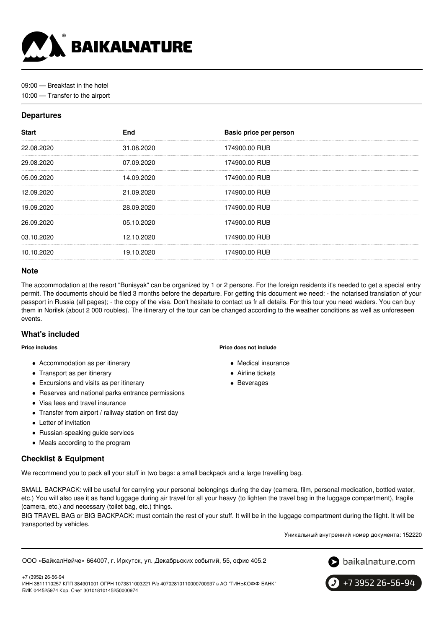

09:00 — Breakfast in the hotel

10:00 — Transfer to the airport

## **Departures**

| <b>Start</b> | <b>End</b> | Basic price per person |
|--------------|------------|------------------------|
| 22.08.2020   | 31.08.2020 | 174900.00 RUB          |
| 29.08.2020   | 07.09.2020 | 174900.00 RUB          |
| 05.09.2020   | 14.09.2020 | 174900.00 RUB          |
| 12.09.2020   | 21.09.2020 | 174900.00 RUB          |
| 19.09.2020   | 28.09.2020 | 174900.00 RUB          |
| 26.09.2020   | 05.10.2020 | 174900.00 RUB          |
| 03.10.2020   | 12.10.2020 | 174900.00 RUB          |
| 10.10.2020   | 19.10.2020 | 174900.00 RUB          |
|              |            |                        |

## **Note**

The accommodation at the resort "Bunisyak" can be organized by 1 or 2 persons. For the foreign residents it's needed to get a special entry permit. The documents should be filed 3 months before the departure. For getting this document we need: - the notarised translation of your passport in Russia (all pages); - the copy of the visa. Don't hesitate to contact us fr all details. For this tour you need waders. You can buy them in Norilsk (about 2 000 roubles). The itinerary of the tour can be changed according to the weather conditions as well as unforeseen events.

## **What's included**

#### **Price includes**

- Accommodation as per itinerary
- Transport as per itinerary
- Excursions and visits as per itinerary
- Reserves and national parks entrance permissions
- Visa fees and travel insurance
- Transfer from airport / railway station on first day
- Letter of invitation
- Russian-speaking guide services
- Meals according to the program

## **Checklist & Equipment**

We recommend you to pack all your stuff in two bags: a small backpack and a large travelling bag.

SMALL BACKPACK: will be useful for carrying your personal belongings during the day (camera, film, personal medication, bottled water, etc.) You will also use it as hand luggage during air travel for all your heavy (to lighten the travel bag in the luggage compartment), fragile (camera, etc.) and necessary (toilet bag, etc.) things.

BIG TRAVEL BAG or BIG BACKPACK: must contain the rest of your stuff. It will be in the luggage compartment during the flight. It will be transported by vehicles.

Уникальный внутренний номер документа: 152220

ООО «БайкалНейче» 664007, г. Иркутск, ул. Декабрьских событий, 55, офис 405.2





+7 (3952) 26-56-94 ИНН 3811110257 КПП 384901001 ОГРН 1073811003221 Р/с 40702810110000700937 в АО "ТИНЬКОФФ БАНК" БИК 044525974 Кор. Счет 30101810145250000974

**Price does not include**

- Medical insurance
- Airline tickets
- Beverages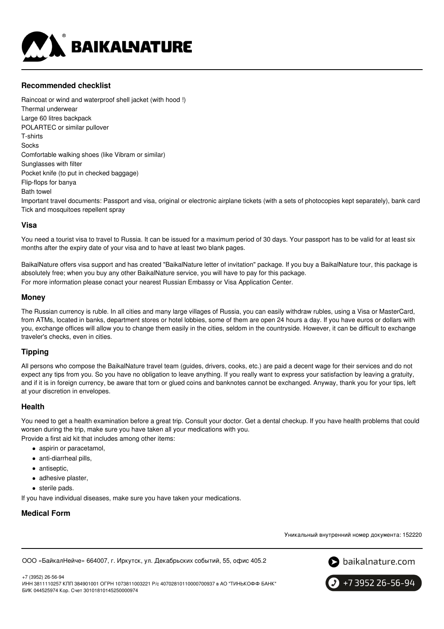

## **Recommended checklist**

Raincoat or wind and waterproof shell jacket (with hood !) Thermal underwear Large 60 litres backpack POLARTEC or similar pullover T-shirts Socks Comfortable walking shoes (like Vibram or similar) Sunglasses with filter Pocket knife (to put in checked baggage) Flip-flops for banya Bath towel Important travel documents: Passport and visa, original or electronic airplane tickets (with a sets of photocopies kept separately), bank card Tick and mosquitoes repellent spray

## **Visa**

You need a tourist visa to travel to Russia. It can be issued for a maximum period of 30 days. Your passport has to be valid for at least six months after the expiry date of your visa and to have at least two blank pages.

BaikalNature offers visa support and has created "BaikalNature letter of invitation" package. If you buy a BaikalNature tour, this package is absolutely free; when you buy any other BaikalNature service, you will have to pay for this package. For more information please conact your nearest Russian Embassy or Visa Application Center.

## **Money**

The Russian currency is ruble. In all cities and many large villages of Russia, you can easily withdraw rubles, using a Visa or MasterCard, from ATMs, located in banks, department stores or hotel lobbies, some of them are open 24 hours a day. If you have euros or dollars with you, exchange offices will allow you to change them easily in the cities, seldom in the countryside. However, it can be difficult to exchange traveler's checks, even in cities.

## **Tipping**

All persons who compose the BaikalNature travel team (guides, drivers, cooks, etc.) are paid a decent wage for their services and do not expect any tips from you. So you have no obligation to leave anything. If you really want to express your satisfaction by leaving a gratuity, and if it is in foreign currency, be aware that torn or glued coins and banknotes cannot be exchanged. Anyway, thank you for your tips, left at your discretion in envelopes.

## **Health**

You need to get a health examination before a great trip. Consult your doctor. Get a dental checkup. If you have health problems that could worsen during the trip, make sure you have taken all your medications with you. Provide a first aid kit that includes among other items:

- aspirin or paracetamol,
- anti-diarrheal pills,
- antiseptic,
- adhesive plaster,
- sterile pads.

If you have individual diseases, make sure you have taken your medications.

## **Medical Form**

Уникальный внутренний номер документа: 152220

ООО «БайкалНейче» 664007, г. Иркутск, ул. Декабрьских событий, 55, офис 405.2